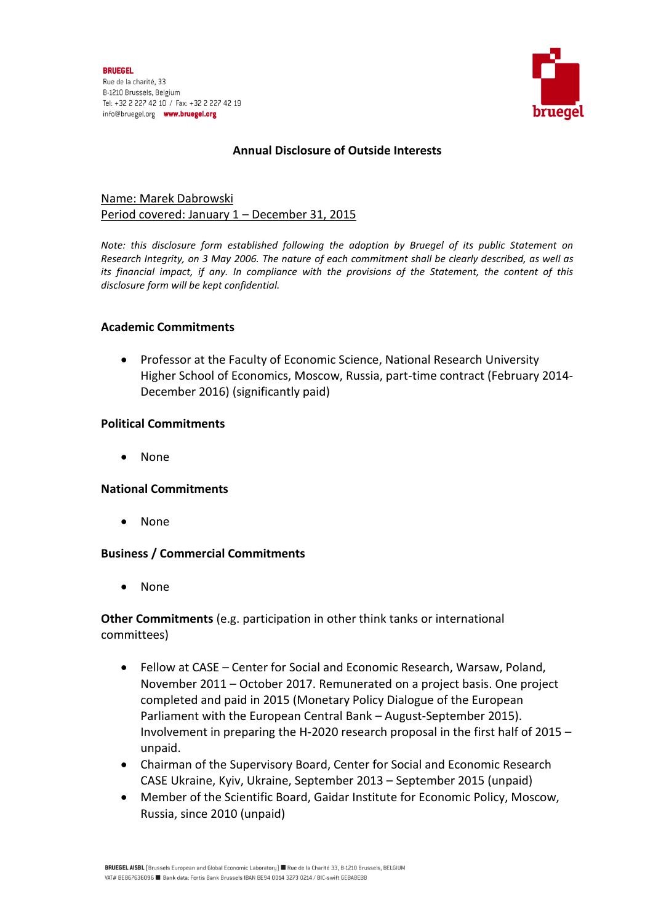

# **Annual Disclosure of Outside Interests**

# Name: Marek Dabrowski Period covered: January 1 – December 31, 2015

*Note: this disclosure form established following the adoption by Bruegel of its public Statement on Research Integrity, on 3 May 2006. The nature of each commitment shall be clearly described, as well as its financial impact, if any. In compliance with the provisions of the Statement, the content of this disclosure form will be kept confidential.* 

## **Academic Commitments**

 Professor at the Faculty of Economic Science, National Research University Higher School of Economics, Moscow, Russia, part-time contract (February 2014- December 2016) (significantly paid)

## **Political Commitments**

• None

## **National Commitments**

• None

## **Business / Commercial Commitments**

• None

**Other Commitments** (e.g. participation in other think tanks or international committees)

- Fellow at CASE Center for Social and Economic Research, Warsaw, Poland, November 2011 – October 2017. Remunerated on a project basis. One project completed and paid in 2015 (Monetary Policy Dialogue of the European Parliament with the European Central Bank – August-September 2015). Involvement in preparing the H-2020 research proposal in the first half of 2015 – unpaid.
- Chairman of the Supervisory Board, Center for Social and Economic Research CASE Ukraine, Kyiv, Ukraine, September 2013 – September 2015 (unpaid)
- Member of the Scientific Board, Gaidar Institute for Economic Policy, Moscow, Russia, since 2010 (unpaid)